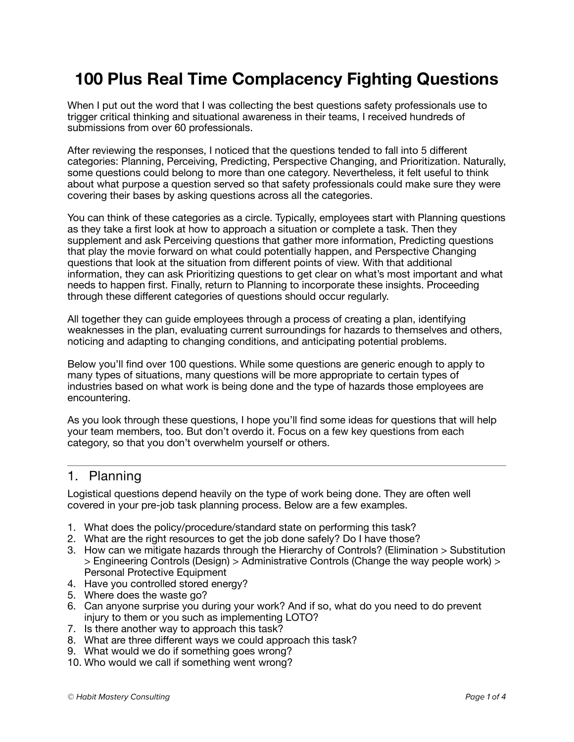# **100 Plus Real Time Complacency Fighting Questions**

When I put out the word that I was collecting the best questions safety professionals use to trigger critical thinking and situational awareness in their teams, I received hundreds of submissions from over 60 professionals.

After reviewing the responses, I noticed that the questions tended to fall into 5 different categories: Planning, Perceiving, Predicting, Perspective Changing, and Prioritization. Naturally, some questions could belong to more than one category. Nevertheless, it felt useful to think about what purpose a question served so that safety professionals could make sure they were covering their bases by asking questions across all the categories.

You can think of these categories as a circle. Typically, employees start with Planning questions as they take a first look at how to approach a situation or complete a task. Then they supplement and ask Perceiving questions that gather more information, Predicting questions that play the movie forward on what could potentially happen, and Perspective Changing questions that look at the situation from different points of view. With that additional information, they can ask Prioritizing questions to get clear on what's most important and what needs to happen first. Finally, return to Planning to incorporate these insights. Proceeding through these different categories of questions should occur regularly.

All together they can guide employees through a process of creating a plan, identifying weaknesses in the plan, evaluating current surroundings for hazards to themselves and others, noticing and adapting to changing conditions, and anticipating potential problems.

Below you'll find over 100 questions. While some questions are generic enough to apply to many types of situations, many questions will be more appropriate to certain types of industries based on what work is being done and the type of hazards those employees are encountering.

As you look through these questions, I hope you'll find some ideas for questions that will help your team members, too. But don't overdo it. Focus on a few key questions from each category, so that you don't overwhelm yourself or others.

### 1. Planning

Logistical questions depend heavily on the type of work being done. They are often well covered in your pre-job task planning process. Below are a few examples.

- 1. What does the policy/procedure/standard state on performing this task?
- 2. What are the right resources to get the job done safely? Do I have those?
- 3. How can we mitigate hazards through the Hierarchy of Controls? (Elimination > Substitution > Engineering Controls (Design) > Administrative Controls (Change the way people work) > Personal Protective Equipment
- 4. Have you controlled stored energy?
- 5. Where does the waste go?
- 6. Can anyone surprise you during your work? And if so, what do you need to do prevent injury to them or you such as implementing LOTO?
- 7. Is there another way to approach this task?
- 8. What are three different ways we could approach this task?
- 9. What would we do if something goes wrong?
- 10. Who would we call if something went wrong?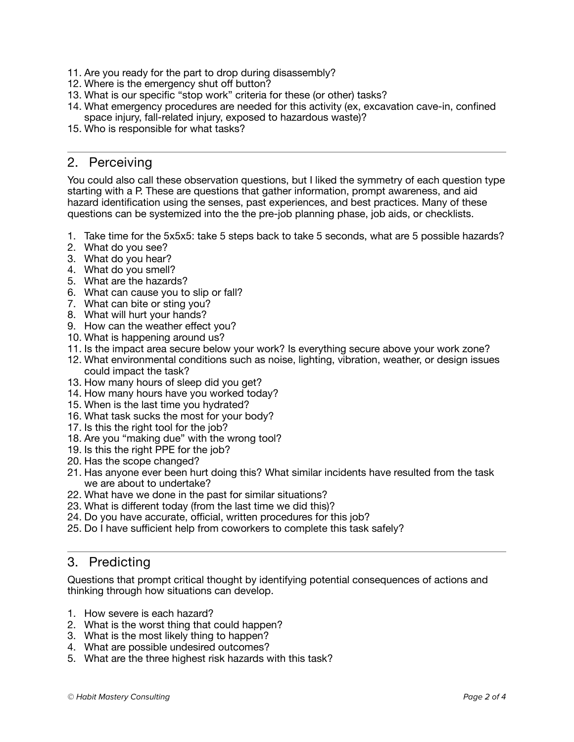- 11. Are you ready for the part to drop during disassembly?
- 12. Where is the emergency shut off button?
- 13. What is our specific "stop work" criteria for these (or other) tasks?
- 14. What emergency procedures are needed for this activity (ex, excavation cave-in, confined space injury, fall-related injury, exposed to hazardous waste)?
- 15. Who is responsible for what tasks?

## 2. Perceiving

You could also call these observation questions, but I liked the symmetry of each question type starting with a P. These are questions that gather information, prompt awareness, and aid hazard identification using the senses, past experiences, and best practices. Many of these questions can be systemized into the the pre-job planning phase, job aids, or checklists.

- 1. Take time for the 5x5x5: take 5 steps back to take 5 seconds, what are 5 possible hazards?
- 2. What do you see?
- 3. What do you hear?
- 4. What do you smell?
- 5. What are the hazards?
- 6. What can cause you to slip or fall?
- 7. What can bite or sting you?
- 8. What will hurt your hands?
- 9. How can the weather effect you?
- 10. What is happening around us?
- 11. Is the impact area secure below your work? Is everything secure above your work zone?
- 12. What environmental conditions such as noise, lighting, vibration, weather, or design issues could impact the task?
- 13. How many hours of sleep did you get?
- 14. How many hours have you worked today?
- 15. When is the last time you hydrated?
- 16. What task sucks the most for your body?
- 17. Is this the right tool for the job?
- 18. Are you "making due" with the wrong tool?
- 19. Is this the right PPE for the job?
- 20. Has the scope changed?
- 21. Has anyone ever been hurt doing this? What similar incidents have resulted from the task we are about to undertake?
- 22. What have we done in the past for similar situations?
- 23. What is different today (from the last time we did this)?
- 24. Do you have accurate, official, written procedures for this job?
- 25. Do I have sufficient help from coworkers to complete this task safely?

# 3. Predicting

Questions that prompt critical thought by identifying potential consequences of actions and thinking through how situations can develop.

- 1. How severe is each hazard?
- 2. What is the worst thing that could happen?
- 3. What is the most likely thing to happen?
- 4. What are possible undesired outcomes?
- 5. What are the three highest risk hazards with this task?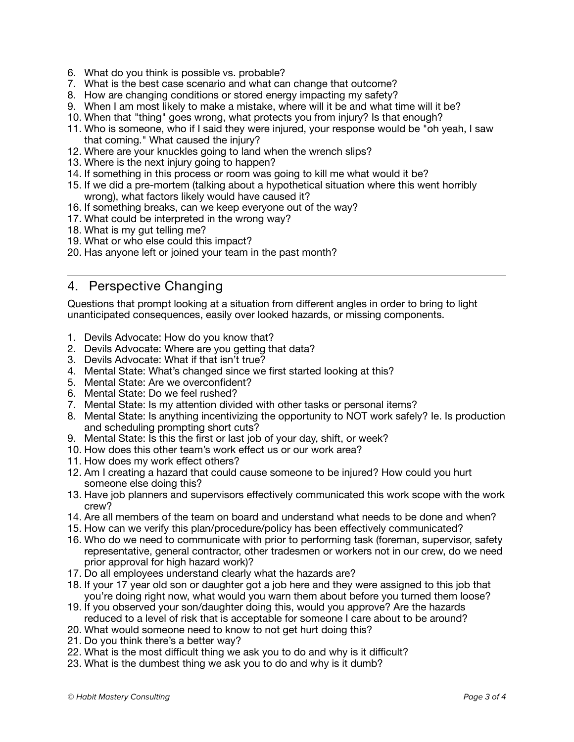- 6. What do you think is possible vs. probable?
- 7. What is the best case scenario and what can change that outcome?
- 8. How are changing conditions or stored energy impacting my safety?
- 9. When I am most likely to make a mistake, where will it be and what time will it be?
- 10. When that "thing" goes wrong, what protects you from injury? Is that enough?
- 11. Who is someone, who if I said they were injured, your response would be "oh yeah, I saw that coming." What caused the injury?
- 12. Where are your knuckles going to land when the wrench slips?
- 13. Where is the next injury going to happen?
- 14. If something in this process or room was going to kill me what would it be?
- 15. If we did a pre-mortem (talking about a hypothetical situation where this went horribly wrong), what factors likely would have caused it?
- 16. If something breaks, can we keep everyone out of the way?
- 17. What could be interpreted in the wrong way?
- 18. What is my gut telling me?
- 19. What or who else could this impact?
- 20. Has anyone left or joined your team in the past month?

## 4. Perspective Changing

Questions that prompt looking at a situation from different angles in order to bring to light unanticipated consequences, easily over looked hazards, or missing components.

- 1. Devils Advocate: How do you know that?
- 2. Devils Advocate: Where are you getting that data?
- 3. Devils Advocate: What if that isn't true?
- 4. Mental State: What's changed since we first started looking at this?
- 5. Mental State: Are we overconfident?
- 6. Mental State: Do we feel rushed?
- 7. Mental State: Is my attention divided with other tasks or personal items?
- 8. Mental State: Is anything incentivizing the opportunity to NOT work safely? Ie. Is production and scheduling prompting short cuts?
- 9. Mental State: Is this the first or last job of your day, shift, or week?
- 10. How does this other team's work effect us or our work area?
- 11. How does my work effect others?
- 12. Am I creating a hazard that could cause someone to be injured? How could you hurt someone else doing this?
- 13. Have job planners and supervisors effectively communicated this work scope with the work crew?
- 14. Are all members of the team on board and understand what needs to be done and when?
- 15. How can we verify this plan/procedure/policy has been effectively communicated?
- 16. Who do we need to communicate with prior to performing task (foreman, supervisor, safety representative, general contractor, other tradesmen or workers not in our crew, do we need prior approval for high hazard work)?
- 17. Do all employees understand clearly what the hazards are?
- 18. If your 17 year old son or daughter got a job here and they were assigned to this job that you're doing right now, what would you warn them about before you turned them loose?
- 19. If you observed your son/daughter doing this, would you approve? Are the hazards reduced to a level of risk that is acceptable for someone I care about to be around?
- 20. What would someone need to know to not get hurt doing this?
- 21. Do you think there's a better way?
- 22. What is the most difficult thing we ask you to do and why is it difficult?
- 23. What is the dumbest thing we ask you to do and why is it dumb?